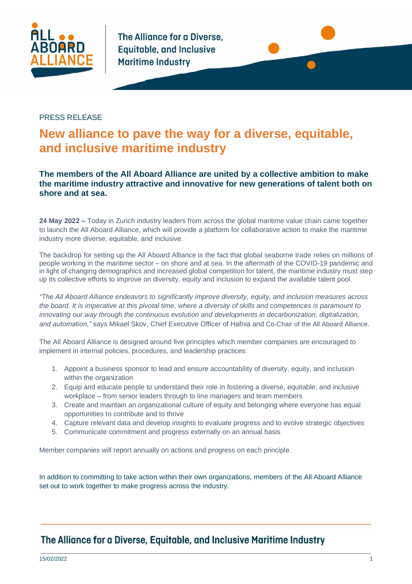

The Alliance for a Diverse. **Equitable, and Inclusive Maritime Industry** 



### PRESS RELEASE

# **New alliance to pave the way for a diverse, equitable, and inclusive maritime industry**

### **The members of the All Aboard Alliance are united by a collective ambition to make the maritime industry attractive and innovative for new generations of talent both on shore and at sea.**

**24 May 2022 –** Today in Zurich industry leaders from across the global maritime value chain came together to launch the All Aboard Alliance, which will provide a platform for collaborative action to make the maritime industry more diverse, equitable, and inclusive.

The backdrop for setting up the All Aboard Alliance is the fact that global seaborne trade relies on millions of people working in the maritime sector – on shore and at sea. In the aftermath of the COVID-19 pandemic and in light of changing demographics and increased global competition for talent, the maritime industry must step up its collective efforts to improve on diversity, equity and inclusion to expand the available talent pool.

*"The All Aboard Alliance endeavors to significantly improve diversity, equity, and inclusion measures across the board. It is imperative at this pivotal time, where a diversity of skills and competences is paramount to innovating our way through the continuous evolution and developments in decarbonization, digitalization, and automation,"* says Mikael Skov, Chief Executive Officer of Hafnia and Co-Chair of the All Aboard Alliance.

The All Aboard Alliance is designed around five principles which member companies are encouraged to implement in internal policies, procedures, and leadership practices:

- 1. Appoint a business sponsor to lead and ensure accountability of diversity, equity, and inclusion within the organization
- 2. Equip and educate people to understand their role in fostering a diverse, equitable, and inclusive workplace – from senior leaders through to line managers and team members
- 3. Create and maintain an organizational culture of equity and belonging where everyone has equal opportunities to contribute and to thrive
- 4. Capture relevant data and develop insights to evaluate progress and to evolve strategic objectives
- 5. Communicate commitment and progress externally on an annual basis

Member companies will report annually on actions and progress on each principle.

In addition to committing to take action within their own organizations, members of the All Aboard Alliance set out to work together to make progress across the industry.

## The Alliance for a Diverse, Equitable, and Inclusive Maritime Industry